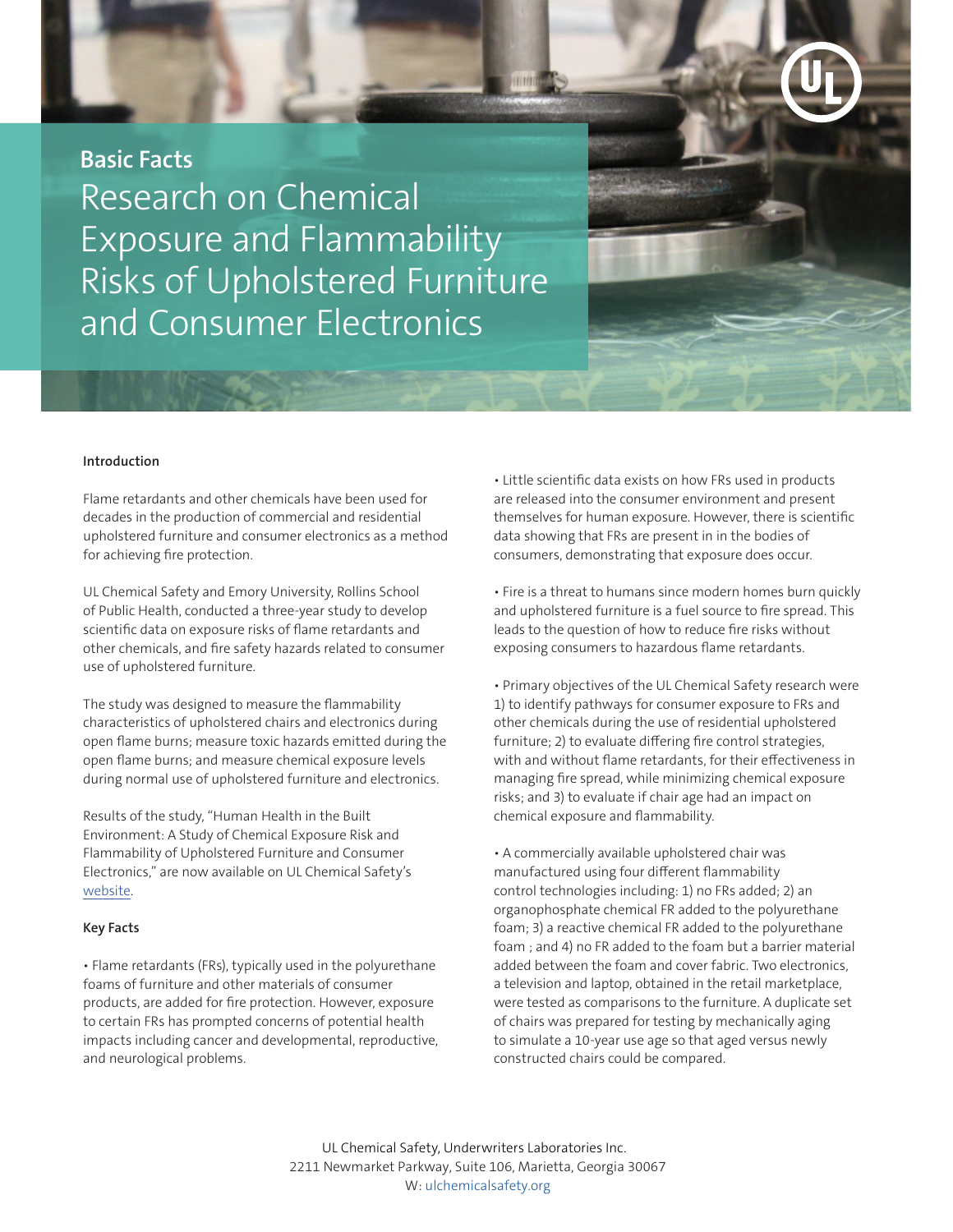**Basic Facts** Research on Chemical Exposure and Flammability Risks of Upholstered Furniture and Consumer Electronics

## **Introduction**

Flame retardants and other chemicals have been used for decades in the production of commercial and residential upholstered furniture and consumer electronics as a method for achieving fire protection.

UL Chemical Safety and Emory University, Rollins School of Public Health, conducted a three-year study to develop scientific data on exposure risks of flame retardants and other chemicals, and fire safety hazards related to consumer use of upholstered furniture.

The study was designed to measure the flammability characteristics of upholstered chairs and electronics during open flame burns; measure toxic hazards emitted during the open flame burns; and measure chemical exposure levels during normal use of upholstered furniture and electronics.

Results of the study, "Human Health in the Built Environment: A Study of Chemical Exposure Risk and Flammability of Upholstered Furniture and Consumer Electronics," are now available on UL Chemical Safety's [website.](www.ulchemicalsafety.org)

## **Key Facts**

• Flame retardants (FRs), typically used in the polyurethane foams of furniture and other materials of consumer products, are added for fire protection. However, exposure to certain FRs has prompted concerns of potential health impacts including cancer and developmental, reproductive, and neurological problems.

• Little scientific data exists on how FRs used in products are released into the consumer environment and present themselves for human exposure. However, there is scientific data showing that FRs are present in in the bodies of consumers, demonstrating that exposure does occur.

• Fire is a threat to humans since modern homes burn quickly and upholstered furniture is a fuel source to fire spread. This leads to the question of how to reduce fire risks without exposing consumers to hazardous flame retardants.

• Primary objectives of the UL Chemical Safety research were 1) to identify pathways for consumer exposure to FRs and other chemicals during the use of residential upholstered furniture; 2) to evaluate differing fire control strategies, with and without flame retardants, for their effectiveness in managing fire spread, while minimizing chemical exposure risks; and 3) to evaluate if chair age had an impact on chemical exposure and flammability.

• A commercially available upholstered chair was manufactured using four different flammability control technologies including: 1) no FRs added; 2) an organophosphate chemical FR added to the polyurethane foam; 3) a reactive chemical FR added to the polyurethane foam ; and 4) no FR added to the foam but a barrier material added between the foam and cover fabric. Two electronics, a television and laptop, obtained in the retail marketplace, were tested as comparisons to the furniture. A duplicate set of chairs was prepared for testing by mechanically aging to simulate a 10-year use age so that aged versus newly constructed chairs could be compared.

UL Chemical Safety, Underwriters Laboratories Inc. 2211 Newmarket Parkway, Suite 106, Marietta, Georgia 30067 W: [ulchemicalsafety.org](www.ulchemicalsafety.org)